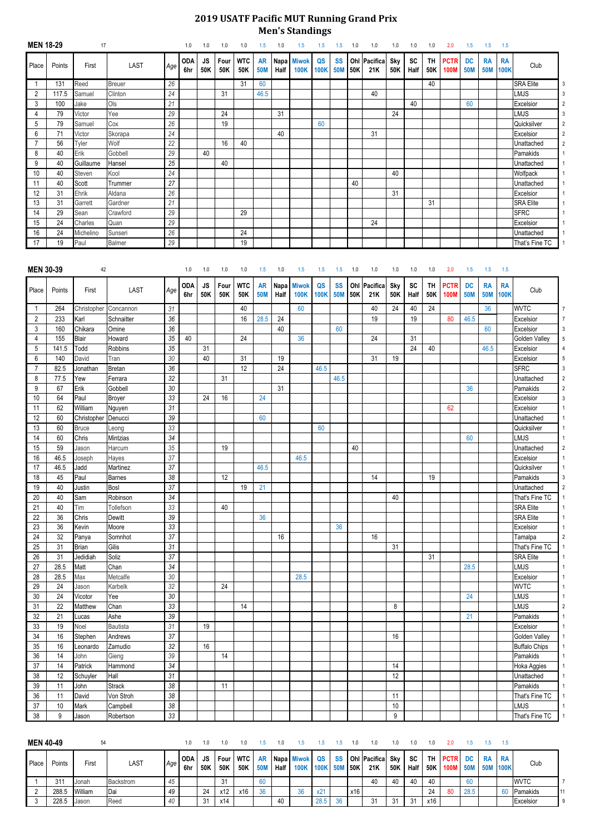## **2019 USATF Pacific MUT Running Grand Prix Men's Standings**

| <b>MEN 18-29</b> |        | 17           |                          |        | 1.0               | 1.0              | 1.0         | 1.0               | 1.5                     | 1.0                       | 1.5                         | 1.5               | 1.5                     | 1.0 | 1.0                 | 1.0               | 1.0               | 1.0              | 2.0                        | 1.5                     | 1.5                     | 1.5                      |                        |                         |
|------------------|--------|--------------|--------------------------|--------|-------------------|------------------|-------------|-------------------|-------------------------|---------------------------|-----------------------------|-------------------|-------------------------|-----|---------------------|-------------------|-------------------|------------------|----------------------------|-------------------------|-------------------------|--------------------------|------------------------|-------------------------|
| Place            | Points | First        | <b>LAST</b>              | Age    | <b>ODA</b><br>6hr | <b>JS</b><br>50K | Four<br>50K | <b>WTC</b><br>50K | <b>AR</b><br><b>50M</b> | Napa <sup>1</sup><br>Half | <b>Miwok</b><br><b>100K</b> | QS<br><b>100K</b> | <b>SS</b><br><b>50M</b> | 50K | Ohl Pacifica<br>21K | <b>Sky</b><br>50K | <b>SC</b><br>Half | <b>TH</b><br>50K | <b>PCTR</b><br><b>100M</b> | <b>DC</b><br><b>50M</b> | <b>RA</b><br><b>50M</b> | <b>RA</b><br><b>100K</b> | Club                   |                         |
| $\overline{1}$   | 131    | Reed         | <b>Breuer</b>            | 26     |                   |                  |             | 31                | 60                      |                           |                             |                   |                         |     |                     |                   |                   | 40               |                            |                         |                         |                          | <b>SRA Elite</b>       | 3                       |
| $\overline{2}$   | 117.5  | Samuel       | Clinton                  | 24     |                   |                  | 31          |                   | 46.5                    |                           |                             |                   |                         |     | 40                  |                   |                   |                  |                            |                         |                         |                          | <b>LMJS</b>            |                         |
| 3                | 100    | Jake         | Ols                      | 21     |                   |                  |             |                   |                         |                           |                             |                   |                         |     |                     |                   | 40                |                  |                            | 60                      |                         |                          | Excelsior              | 2                       |
| 4                | 79     | Victor       | Yee                      | 29     |                   |                  | 24          |                   |                         | 31                        |                             |                   |                         |     |                     | 24                |                   |                  |                            |                         |                         |                          | <b>LMJS</b>            | 3                       |
| 5                | 79     | Samuel       | Cox                      | 26     |                   |                  | 19          |                   |                         |                           |                             | 60                |                         |     |                     |                   |                   |                  |                            |                         |                         |                          | Quicksilver            | 2                       |
| 6                | 71     | Victor       | Skorapa                  | 24     |                   |                  |             |                   |                         | 40                        |                             |                   |                         |     | 31                  |                   |                   |                  |                            |                         |                         |                          | Excelsior              | $\overline{\mathbf{c}}$ |
| 7                | 56     | Tyler        | Wolf                     | 22     |                   |                  | 16          | 40                |                         |                           |                             |                   |                         |     |                     |                   |                   |                  |                            |                         |                         |                          | Unattached             | 2                       |
| 8                | 40     | Erik         | Gobbell                  | 29     |                   | 40               |             |                   |                         |                           |                             |                   |                         |     |                     |                   |                   |                  |                            |                         |                         |                          | Pamakids               |                         |
| 9                | 40     | Guillaume    | Hansel                   | 25     |                   |                  | 40          |                   |                         |                           |                             |                   |                         |     |                     |                   |                   |                  |                            |                         |                         |                          | Unattached             |                         |
| 10               | 40     | Steven       | Kool                     | 24     |                   |                  |             |                   |                         |                           |                             |                   |                         |     |                     | 40                |                   |                  |                            |                         |                         |                          | Wolfpack               |                         |
| 11               | 40     | Scott        | Trummer                  | 27     |                   |                  |             |                   |                         |                           |                             |                   |                         | 40  |                     |                   |                   |                  |                            |                         |                         |                          | Unattached             |                         |
| 12               | 31     | Ehrik        | Aldana                   | 26     |                   |                  |             |                   |                         |                           |                             |                   |                         |     |                     | 31                |                   |                  |                            |                         |                         |                          | Excelsior              |                         |
| 13               | 31     | Garrett      | Gardner                  | 21     |                   |                  |             |                   |                         |                           |                             |                   |                         |     |                     |                   |                   | 31               |                            |                         |                         |                          | <b>SRA Elite</b>       |                         |
| 14               | 29     | Sean         | Crawford                 | 29     |                   |                  |             | 29                |                         |                           |                             |                   |                         |     |                     |                   |                   |                  |                            |                         |                         |                          | <b>SFRC</b>            |                         |
| 15               | 24     | Charles      | Quan                     | 29     |                   |                  |             |                   |                         |                           |                             |                   |                         |     | 24                  |                   |                   |                  |                            |                         |                         |                          | Excelsior              |                         |
| 16               | 24     | Michelino    | Sunseri                  | 26     |                   |                  |             | 24                |                         |                           |                             |                   |                         |     |                     |                   |                   |                  |                            |                         |                         |                          | Unattached             |                         |
| 17               | 19     | Paul         | Balmer                   | 29     |                   |                  |             | 19                |                         |                           |                             |                   |                         |     |                     |                   |                   |                  |                            |                         |                         |                          | That's Fine TC         |                         |
|                  |        |              |                          |        |                   |                  |             |                   |                         |                           |                             |                   |                         |     |                     |                   |                   |                  |                            |                         |                         |                          |                        |                         |
| <b>MEN 30-39</b> |        | 42           |                          |        | 1.0               | 1.0              | 1.0         | 1.0               | 1.5                     | 1.0                       | 1.5                         | 1.5               | 1.5                     | 1.0 | 1.0                 | 1.0               | 1.0               | 1.0              | 2.0                        | 1.5                     | 1.5                     | 1.5                      |                        |                         |
| Place            | Points | First        | <b>LAST</b>              | Age    | <b>ODA</b><br>6hr | <b>JS</b><br>50K | Four<br>50K | <b>WTC</b><br>50K | <b>50M</b>              | AR Napa<br>Half           | <b>Miwok</b><br><b>100K</b> | QS<br><b>100K</b> | <b>SS</b><br><b>50M</b> | 50K | Ohl Pacifica<br>21K | Sky<br>50K        | <b>SC</b><br>Half | <b>TH</b><br>50K | <b>PCTR</b><br><b>100M</b> | <b>DC</b><br><b>50M</b> | <b>RA</b><br><b>50M</b> | <b>RA</b><br><b>100K</b> | Club                   |                         |
| -1               | 264    | Christopher  | Concannon                | 31     |                   |                  |             | 40                |                         |                           | 60                          |                   |                         |     | 40                  | 24                | 40                | 24               |                            |                         | 36                      |                          | <b>WVTC</b>            |                         |
|                  | 233    | Karl         | Schnaitter               | 36     |                   |                  |             | 16                | 28.5                    | 24                        |                             |                   |                         |     | 19                  |                   | 19                |                  | 80                         | 46.5                    |                         |                          | Excelsior              |                         |
| $\overline{2}$   | 160    |              |                          | 36     |                   |                  |             |                   |                         | 40                        |                             |                   | 60                      |     |                     |                   |                   |                  |                            |                         | 60                      |                          |                        |                         |
| 3                |        | Chikara      | Omine                    |        |                   |                  |             | 24                |                         |                           | 36                          |                   |                         |     | 24                  |                   |                   |                  |                            |                         |                         |                          | Excelsior              | 3                       |
| 4                | 155    | Blair        | Howard<br><b>Robbins</b> | 35     | 40                |                  |             |                   |                         |                           |                             |                   |                         |     |                     |                   | 31                |                  |                            |                         |                         |                          | Golden Valley          | 5                       |
| 5                | 141.5  | Todd         |                          | 35     |                   | 31               |             |                   |                         |                           |                             |                   |                         |     |                     |                   | 24                | 40               |                            |                         | 46.5                    |                          | Excelsior<br>Excelsior |                         |
| 6                | 140    | David        | Tran                     | $30\,$ |                   | 40               |             | 31                |                         | 19                        |                             |                   |                         |     | 31                  | 19                |                   |                  |                            |                         |                         |                          |                        | 5                       |
| 7                | 82.5   | Jonathan     | <b>Bretan</b>            | 36     |                   |                  |             | 12                |                         | 24                        |                             | 46.5              |                         |     |                     |                   |                   |                  |                            |                         |                         |                          | <b>SFRC</b>            | 3                       |
| 8                | 77.5   | Yew          | Ferrara                  | 32     |                   |                  | 31          |                   |                         |                           |                             |                   | 46.5                    |     |                     |                   |                   |                  |                            |                         |                         |                          | Unattached             | 2                       |
| 9                | 67     | Erik         | Gobbell                  | $30\,$ |                   |                  |             |                   |                         | 31                        |                             |                   |                         |     |                     |                   |                   |                  |                            | 36                      |                         |                          | Pamakids               | 2                       |
| 10               | 64     | Paul         | Broyer                   | 33     |                   | 24               | 16          |                   | 24                      |                           |                             |                   |                         |     |                     |                   |                   |                  |                            |                         |                         |                          | Excelsior              | 3                       |
| 11               | 62     | William      | Nguyen                   | 31     |                   |                  |             |                   |                         |                           |                             |                   |                         |     |                     |                   |                   |                  | 62                         |                         |                         |                          | Excelsior              |                         |
| 12               | 60     | Christopher  | Denucci                  | 39     |                   |                  |             |                   | 60                      |                           |                             |                   |                         |     |                     |                   |                   |                  |                            |                         |                         |                          | Unattached             |                         |
| 13               | 60     | <b>Bruce</b> | Leong                    | 33     |                   |                  |             |                   |                         |                           |                             | 60                |                         |     |                     |                   |                   |                  |                            |                         |                         |                          | Quicksilver            |                         |
| 14               | 60     | Chris        | Mintzias                 | 34     |                   |                  |             |                   |                         |                           |                             |                   |                         |     |                     |                   |                   |                  |                            | 60                      |                         |                          | <b>LMJS</b>            |                         |
| 15               | 59     | Jason        | Harcum                   | $35\,$ |                   |                  | 19          |                   |                         |                           |                             |                   |                         | 40  |                     |                   |                   |                  |                            |                         |                         |                          | Unattached             | 2                       |
| 16               | 46.5   | Joseph       | Hayes                    | 37     |                   |                  |             |                   |                         |                           | 46.5                        |                   |                         |     |                     |                   |                   |                  |                            |                         |                         |                          | Excelsior              |                         |
| 17               | 46.5   | Jadd         | Martinez                 | 37     |                   |                  |             |                   | 46.5                    |                           |                             |                   |                         |     |                     |                   |                   |                  |                            |                         |                         |                          | Quicksilver            |                         |
| 18               | 45     | Paul         | <b>Barnes</b>            | 38     |                   |                  | 12          |                   |                         |                           |                             |                   |                         |     | 14                  |                   |                   | 19               |                            |                         |                         |                          | Pamakids               | 3                       |
| 19               | 40     | Justin       | Bosl                     | 37     |                   |                  |             | 19                | 21                      |                           |                             |                   |                         |     |                     |                   |                   |                  |                            |                         |                         |                          | Unattached             |                         |
| 20               | 40     | Sam          | Robinson                 | 34     |                   |                  |             |                   |                         |                           |                             |                   |                         |     |                     | 40                |                   |                  |                            |                         |                         |                          | That's Fine TC         |                         |
| 21               | 40     | Tim          | Tollefson                | 33     |                   |                  | 40          |                   |                         |                           |                             |                   |                         |     |                     |                   |                   |                  |                            |                         |                         |                          | <b>SRA Elite</b>       |                         |
| 22               | 36     | Chris        | Dewitt                   | 39     |                   |                  |             |                   | 36                      |                           |                             |                   |                         |     |                     |                   |                   |                  |                            |                         |                         |                          | <b>SRA Elite</b>       |                         |
| 23               | 36     | Kevin        | Moore                    | 33     |                   |                  |             |                   |                         |                           |                             |                   | 36                      |     |                     |                   |                   |                  |                            |                         |                         |                          | Excelsior              |                         |
| 24               | 32     | Panya        | Somnhot                  | 37     |                   |                  |             |                   |                         | 16                        |                             |                   |                         |     | 16                  |                   |                   |                  |                            |                         |                         |                          | Tamalpa                |                         |
| 25               | 31     | <b>Brian</b> | Gilis                    | 31     |                   |                  |             |                   |                         |                           |                             |                   |                         |     |                     | 31                |                   |                  |                            |                         |                         |                          | That's Fine TC         |                         |
| 26               | 31     | Jedidiah     | Soliz                    | 37     |                   |                  |             |                   |                         |                           |                             |                   |                         |     |                     |                   |                   | 31               |                            |                         |                         |                          | <b>SRA Elite</b>       |                         |
| 27               | 28.5   | Matt         | Chan                     | 34     |                   |                  |             |                   |                         |                           |                             |                   |                         |     |                     |                   |                   |                  |                            | 28.5                    |                         |                          | <b>LMJS</b>            |                         |
| 28               | 28.5   | Max          | Metcalfe                 | $30\,$ |                   |                  |             |                   |                         |                           | 28.5                        |                   |                         |     |                     |                   |                   |                  |                            |                         |                         |                          | Excelsior              |                         |
| 29               | 24     | Jason        | Karbelk                  | 32     |                   |                  | 24          |                   |                         |                           |                             |                   |                         |     |                     |                   |                   |                  |                            |                         |                         |                          | <b>WVTC</b>            |                         |
| 30               | 24     | Vicotor      | Yee                      | 30     |                   |                  |             |                   |                         |                           |                             |                   |                         |     |                     |                   |                   |                  |                            | 24                      |                         |                          | <b>LMJS</b>            |                         |
| 31               | 22     | Matthew      | Chan                     | 33     |                   |                  |             | 14                |                         |                           |                             |                   |                         |     |                     | 8                 |                   |                  |                            |                         |                         |                          | <b>LMJS</b>            |                         |
| 32               | 21     | Lucas        | Ashe                     | 39     |                   |                  |             |                   |                         |                           |                             |                   |                         |     |                     |                   |                   |                  |                            | 21                      |                         |                          | Pamakids               |                         |
| 33               | 19     | Noel         | <b>Bautista</b>          | 31     |                   | 19               |             |                   |                         |                           |                             |                   |                         |     |                     |                   |                   |                  |                            |                         |                         |                          | Excelsior              |                         |

| 34       | 16 | Stephen  | Andrews       | 37 |    |    |  |  |  |  | 16        |  |  |  | Golden Valley        |  |
|----------|----|----------|---------------|----|----|----|--|--|--|--|-----------|--|--|--|----------------------|--|
| 35       | 16 | Leonardo | Zamudio       | 32 | 16 |    |  |  |  |  |           |  |  |  | <b>Buffalo Chips</b> |  |
| 36       | 14 | John     | Gieng         | 39 |    | 14 |  |  |  |  |           |  |  |  | Pamakids             |  |
| ال       | 14 | Patrick  | Hammond       | 34 |    |    |  |  |  |  | 14        |  |  |  | Hoka Aggies          |  |
| 38       | 12 | Schuyler | Hall          | 31 |    |    |  |  |  |  | 12<br>IZ. |  |  |  | Unattached           |  |
| 39       |    | John     | <b>Strack</b> | 38 |    |    |  |  |  |  |           |  |  |  | Pamakids             |  |
| 36       |    | David    | Von Stroh     | 38 |    |    |  |  |  |  |           |  |  |  | That's Fine TC       |  |
| 27<br>ັບ | 10 | Mark     | Campbell      | 38 |    |    |  |  |  |  | 10        |  |  |  | <b>LMJS</b>          |  |
| 38       |    | Jason    | Robertson     | 33 |    |    |  |  |  |  |           |  |  |  | That's Fine TC       |  |

| <b>MEN 40-49</b> |        | 54      |                  |    | 1.0          | l.O        | 1.0 | 1.0                 |                         |      |                              |              |    | 10  |                            | 1.0        | 1.0        | 1.0              | 20.                     |      |                               |                  |   |
|------------------|--------|---------|------------------|----|--------------|------------|-----|---------------------|-------------------------|------|------------------------------|--------------|----|-----|----------------------------|------------|------------|------------------|-------------------------|------|-------------------------------|------------------|---|
| Place            | Points | First   | <b>LAST</b>      |    | ODA I<br>6hr | JS.<br>50K | 50K | Four   WTC  <br>50K | <b>AR</b><br><b>50M</b> | Half | Napa Miwok QS<br><b>100K</b> | 100K 50M 50K |    |     | SS   Ohl   Pacifica<br>21K | Sky<br>50K | SC<br>Half | <b>TH</b><br>50K | <b>PCTR</b><br>100M 50M |      | DC RA RA<br><b>1 50M 100K</b> | Club             |   |
|                  | 311    | Jonah   | <b>Backstrom</b> | 45 |              |            | 31  |                     |                         |      |                              |              |    |     | 40                         | 40         | 40         | 40               |                         | 60   |                               | <b>WVTC</b>      |   |
|                  | 288.5  | William | <b>I</b> Dai     | 49 |              | 24         | x12 | x16                 | 36                      |      | 36                           | x21          |    | x16 |                            |            |            | 24               | 80                      | 28.5 |                               | Pamakids         |   |
|                  | 228.5  | Jason   | Reed             | 40 |              | 31         | x14 |                     |                         | 40   |                              | 28.5         | 36 |     | 31                         | 31         | 31         | x16              |                         |      |                               | <b>Excelsior</b> | g |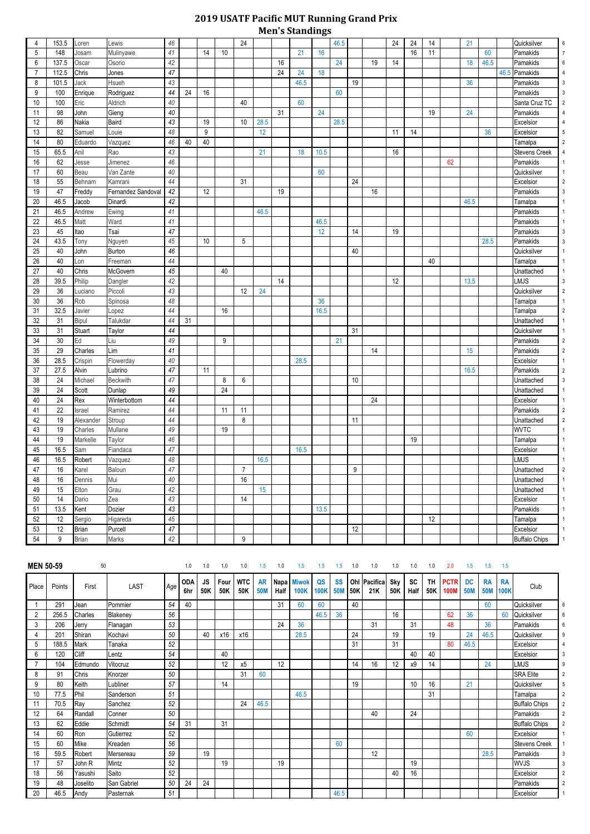## **2019 USATF Pacific MUT Running Grand Prix Men's Standings**

|                |        |              |                    |        |    |    |                  | 24             |      |    |      |      |      |                  |    |    |    |    |    |      |      | Quicksilver          |                |
|----------------|--------|--------------|--------------------|--------|----|----|------------------|----------------|------|----|------|------|------|------------------|----|----|----|----|----|------|------|----------------------|----------------|
| 4              | 153.5  | Loren        | Lewis              | 46     |    |    |                  |                |      |    |      |      | 46.5 |                  |    | 24 | 24 | 14 |    | 21   |      |                      | 6              |
| 5              | 148    | Josam        | Mulinyawe          | 41     |    | 14 | 10               |                |      |    | 21   | 16   | 24   |                  |    |    | 16 | 11 |    |      | 60   | Pamakids             |                |
| $6\phantom{1}$ | 137.5  | Oscar        | Osorio             | 42     |    |    |                  |                |      | 16 |      |      |      |                  | 19 | 14 |    |    |    | 18   | 46.5 | Pamakids             | 6              |
| $\overline{7}$ | 112.5  | Chris        | Jones              | 47     |    |    |                  |                |      | 24 | 24   | 18   |      |                  |    |    |    |    |    |      |      | 46.5 Pamakids        |                |
| 8              | 101.5  | Jack         | Hsueh              | 43     |    |    |                  |                |      |    | 46.5 |      |      | 19               |    |    |    |    |    | 36   |      | Pamakids             |                |
| 9              | 100    | Enrique      | Rodriguez          | 44     | 24 | 16 |                  |                |      |    |      |      | 60   |                  |    |    |    |    |    |      |      | Pamakids             |                |
| 10             | 100    | Eric         | Aldrich            | 40     |    |    |                  | 40             |      |    | 60   |      |      |                  |    |    |    |    |    |      |      | Santa Cruz TC        |                |
| 11             | 98     | John         | Gieng              | $40\,$ |    |    |                  |                |      | 31 |      | 24   |      |                  |    |    |    | 19 |    | 24   |      | Pamakids             |                |
| 12             | 86     | Nakia        | Baird              | 43     |    | 19 |                  | 10             | 28.5 |    |      |      | 28.5 |                  |    |    |    |    |    |      |      | Excelsior            |                |
| 13             | 82     | Samuel       | Louie              | 48     |    | 9  |                  |                | 12   |    |      |      |      |                  |    | 11 | 14 |    |    |      | 36   | Excelsior            |                |
| 14             | 80     | Eduardo      | Vazquez            | 46     | 40 | 40 |                  |                |      |    |      |      |      |                  |    |    |    |    |    |      |      | Tamalpa              |                |
| 15             | 65.5   | Anil         | Rao                | 43     |    |    |                  |                | 21   |    | 18   | 10.5 |      |                  |    | 16 |    |    |    |      |      | <b>Stevens Creek</b> |                |
| 16             | 62     | Jesse        | Jimenez            | 46     |    |    |                  |                |      |    |      |      |      |                  |    |    |    |    | 62 |      |      | Pamakids             |                |
| 17             | 60     | Beau         | Van Zante          | 40     |    |    |                  |                |      |    |      | 60   |      |                  |    |    |    |    |    |      |      | Quicksilver          |                |
| 18             | 55     | Behnam       | Kamrani            | 44     |    |    |                  | 31             |      |    |      |      |      | 24               |    |    |    |    |    |      |      | Excelsior            |                |
| 19             | 47     | Freddy       | Fernandez Sandoval | 42     |    | 12 |                  |                |      | 19 |      |      |      |                  | 16 |    |    |    |    |      |      | Pamakids             |                |
| 20             | 46.5   | Jacob        | Dinardi            | 42     |    |    |                  |                |      |    |      |      |      |                  |    |    |    |    |    | 46.5 |      | Tamalpa              |                |
| 21             | 46.5   | Andrew       | Ewing              | 41     |    |    |                  |                | 46.5 |    |      |      |      |                  |    |    |    |    |    |      |      | Pamakids             |                |
| 22             | 46.5   | Matt         | Ward               | 41     |    |    |                  |                |      |    |      | 46.5 |      |                  |    |    |    |    |    |      |      | Pamakids             |                |
| 23             | 45     | Itao         | Tsai               | 47     |    |    |                  |                |      |    |      | 12   |      | 14               |    | 19 |    |    |    |      |      | Pamakids             |                |
| 24             | 43.5   | Tony         | Nguyen             | 45     |    | 10 |                  | $\sqrt{5}$     |      |    |      |      |      |                  |    |    |    |    |    |      | 28.5 | Pamakids             |                |
| 25             | 40     | John         | Burton             | 46     |    |    |                  |                |      |    |      |      |      | 40               |    |    |    |    |    |      |      | Quicksilver          |                |
| 26             | 40     | Lon          | Freeman            | 44     |    |    |                  |                |      |    |      |      |      |                  |    |    |    | 40 |    |      |      | Tamalpa              |                |
| 27             | 40     | Chris        | McGovern           | 45     |    |    | 40               |                |      |    |      |      |      |                  |    |    |    |    |    |      |      | Unattached           |                |
| 28             | 39.5   | Philip       | Dangler            | 42     |    |    |                  |                |      | 14 |      |      |      |                  |    | 12 |    |    |    | 13.5 |      | <b>LMJS</b>          | 3              |
| 29             | 36     | Luciano      | Piccoli            | 43     |    |    |                  | 12             | 24   |    |      |      |      |                  |    |    |    |    |    |      |      | Quicksilver          |                |
| 30             | 36     | Rob          | Spinosa            | 48     |    |    |                  |                |      |    |      | 36   |      |                  |    |    |    |    |    |      |      | Tamalpa              |                |
| 31             | 32.5   | Javier       | Lopez              | 44     |    |    | 16               |                |      |    |      | 16.5 |      |                  |    |    |    |    |    |      |      | Tamalpa              |                |
| 32             | 31     | Bipul        | Talukdar           | 44     | 31 |    |                  |                |      |    |      |      |      |                  |    |    |    |    |    |      |      | Unattached           |                |
| 33             | 31     | Stuart       | Taylor             | $44$   |    |    |                  |                |      |    |      |      |      | 31               |    |    |    |    |    |      |      | Quicksilver          |                |
| 34             | $30\,$ | Ed           | Liu                | 49     |    |    | $\boldsymbol{9}$ |                |      |    |      |      | 21   |                  |    |    |    |    |    |      |      | Pamakids             | $\overline{2}$ |
| $35\,$         | 29     | Charles      | Lim                | $41$   |    |    |                  |                |      |    |      |      |      |                  | 14 |    |    |    |    | 15   |      | Pamakids             |                |
| 36             | 28.5   | Crispin      | Flowerday          | $40\,$ |    |    |                  |                |      |    | 28.5 |      |      |                  |    |    |    |    |    |      |      | Excelsior            |                |
| 37             | 27.5   | Alvin        | Lubrino            | 47     |    | 11 |                  |                |      |    |      |      |      |                  |    |    |    |    |    | 16.5 |      | Pamakids             | 2              |
| 38             | 24     | Michael      | <b>Beckwith</b>    | 47     |    |    | 8                | $6\phantom{.}$ |      |    |      |      |      | 10               |    |    |    |    |    |      |      | Unattached           | 3              |
| 39             | 24     | Scott        | Dunlap             | 49     |    |    | 24               |                |      |    |      |      |      |                  |    |    |    |    |    |      |      | Unattached           |                |
| 40             | 24     | Rex          | Winterbottom       | $44\,$ |    |    |                  |                |      |    |      |      |      |                  | 24 |    |    |    |    |      |      | Excelsior            |                |
| 41             | 22     | Israel       | Ramirez            | 44     |    |    | 11               | 11             |      |    |      |      |      |                  |    |    |    |    |    |      |      | Pamakids             |                |
| 42             | 19     | Alexander    | Stroup             | 44     |    |    |                  | 8              |      |    |      |      |      | 11               |    |    |    |    |    |      |      | Unattached           | 2              |
| 43             | 19     | Charles      | Mullane            | 49     |    |    | 19               |                |      |    |      |      |      |                  |    |    |    |    |    |      |      | <b>WVTC</b>          |                |
| 44             | 19     | Markelle     | Taylor             | 46     |    |    |                  |                |      |    |      |      |      |                  |    |    | 19 |    |    |      |      | Tamalpa              |                |
| 45             | 16.5   | Sam          | Fiandaca           | 47     |    |    |                  |                |      |    | 16.5 |      |      |                  |    |    |    |    |    |      |      | Excelsior            |                |
| 46             | 16.5   | Robert       | Vazquez            | 48     |    |    |                  |                | 16.5 |    |      |      |      |                  |    |    |    |    |    |      |      | <b>LMJS</b>          |                |
| 47             | 16     | Karel        | Baloun             | 47     |    |    |                  | $\overline{7}$ |      |    |      |      |      | $\boldsymbol{9}$ |    |    |    |    |    |      |      | Unattached           |                |
| 48             | 16     | Dennis       | Mui                | 40     |    |    |                  | 16             |      |    |      |      |      |                  |    |    |    |    |    |      |      | Unattached           |                |
| 49             | 15     | Elton        | Grau               | 42     |    |    |                  |                | 15   |    |      |      |      |                  |    |    |    |    |    |      |      | Unattached           |                |
| 50             | 14     | Dario        | Zea                | 43     |    |    |                  | 14             |      |    |      |      |      |                  |    |    |    |    |    |      |      | Excelsior            |                |
| 51             | 13.5   | Kent         | Dozier             | 43     |    |    |                  |                |      |    |      | 13.5 |      |                  |    |    |    |    |    |      |      | Pamakids             |                |
| 52             | 12     | Sergio       | Higareda           | 45     |    |    |                  |                |      |    |      |      |      |                  |    |    |    | 12 |    |      |      | Tamalpa              |                |
| 53             | 12     | <b>Brian</b> | Purcell            | 47     |    |    |                  |                |      |    |      |      |      | 12               |    |    |    |    |    |      |      | Excelsior            |                |
| 54             | 9      | <b>Brian</b> | Marks              | 42     |    |    |                  | 9              |      |    |      |      |      |                  |    |    |    |    |    |      |      | <b>Buffalo Chips</b> |                |
|                |        |              |                    |        |    |    |                  |                |      |    |      |      |      |                  |    |    |    |    |    |      |      |                      |                |

| <b>MEN 50-59</b> |        | 50       |             |     | 1.0               | 1.0              | 1.0         | 1.0               | 1.5                     | 1.0          | 1.5                         | 1.5               | 1.5                     | 1.0        | 1.0             | 1.0               | 1.0               | 1.0              | 2.0                        | 1.5                     | 1.5                     | 1.5                      |                      |
|------------------|--------|----------|-------------|-----|-------------------|------------------|-------------|-------------------|-------------------------|--------------|-----------------------------|-------------------|-------------------------|------------|-----------------|-------------------|-------------------|------------------|----------------------------|-------------------------|-------------------------|--------------------------|----------------------|
| Place            | Points | First    | <b>LAST</b> | Age | <b>ODA</b><br>6hr | <b>JS</b><br>50K | Four<br>50K | <b>WTC</b><br>50K | <b>AR</b><br><b>50M</b> | Napa<br>Half | <b>Miwok</b><br><b>100K</b> | QS<br><b>100K</b> | <b>SS</b><br><b>50M</b> | Ohl<br>50K | Pacifica<br>21K | <b>Sky</b><br>50K | <b>SC</b><br>Half | <b>TH</b><br>50K | <b>PCTR</b><br><b>100M</b> | <b>DC</b><br><b>50M</b> | <b>RA</b><br><b>50M</b> | <b>RA</b><br><b>100K</b> | Club                 |
|                  | 291    | Jean     | Pommier     | 54  | 40                |                  |             |                   |                         | 31           | 60                          | 60                |                         | 40         |                 |                   |                   |                  |                            |                         | 60                      |                          | Quicksilver          |
| $\overline{c}$   | 256.5  | Charles  | Blakeney    | 56  |                   |                  |             |                   |                         |              |                             | 46.5              | 36                      |            |                 | 16                |                   |                  | 62                         | 36                      |                         | 60                       | Quicksilver          |
| 3                | 206    | Jerry    | Flanagan    | 53  |                   |                  |             |                   |                         | 24           | 36                          |                   |                         |            | 31              |                   | 31                |                  | 48                         |                         | 36                      |                          | Pamakids             |
| 4                | 201    | Shiran   | Kochavi     | 50  |                   | 40               | x16         | x16               |                         |              | 28.5                        |                   |                         | 24         |                 | 19                |                   | 19               |                            | 24                      | 46.5                    |                          | Quicksilver          |
| 5                | 188.5  | Mark     | Tanaka      | 52  |                   |                  |             |                   |                         |              |                             |                   |                         | 31         |                 | 31                |                   |                  | 80                         | 46.5                    |                         |                          | Excelsior            |
| 6                | 120    | Cliff    | Lentz       | 54  |                   |                  | 40          |                   |                         |              |                             |                   |                         |            |                 |                   | 40                | 40               |                            |                         |                         |                          | Excelsior            |
|                  | 104    | Edmundo  | Vitocruz    | 52  |                   |                  | 12          | x5                |                         | 12           |                             |                   |                         | 14         | 16              | 12                | х9                | 14               |                            |                         | 24                      |                          | <b>LMJS</b>          |
| 8                | 91     | Chris    | Knorzer     | 50  |                   |                  |             | 31                | 60                      |              |                             |                   |                         |            |                 |                   |                   |                  |                            |                         |                         |                          | <b>SRA Elite</b>     |
| 9                | 80     | Keith    | Lubliner    | 57  |                   |                  | 14          |                   |                         |              |                             |                   |                         | 19         |                 |                   | 10                | 16               |                            | 21                      |                         |                          | Quicksilver          |
| 10               | 77.5   | Phil     | Sanderson   | 51  |                   |                  |             |                   |                         |              | 46.5                        |                   |                         |            |                 |                   |                   | 31               |                            |                         |                         |                          | Tamalpa              |
| 11               | 70.5   | Ray      | Sanchez     | 52  |                   |                  |             | 24                | 46.5                    |              |                             |                   |                         |            |                 |                   |                   |                  |                            |                         |                         |                          | <b>Buffalo Chips</b> |
| 12               | 64     | Randall  | Conner      | 50  |                   |                  |             |                   |                         |              |                             |                   |                         |            | 40              |                   | 24                |                  |                            |                         |                         |                          | Pamakids             |
| 13               | 62     | Eddie    | Schmidt     | 54  | 31                |                  | 31          |                   |                         |              |                             |                   |                         |            |                 |                   |                   |                  |                            |                         |                         |                          | <b>Buffalo Chips</b> |
| 14               | 60     | Ron      | Gutierrez   | 52  |                   |                  |             |                   |                         |              |                             |                   |                         |            |                 |                   |                   |                  |                            | 60                      |                         |                          | Excelsior            |
| 15               | 60     | Mike     | Kreaden     | 56  |                   |                  |             |                   |                         |              |                             |                   | 60                      |            |                 |                   |                   |                  |                            |                         |                         |                          | <b>Stevens Creek</b> |
| 16               | 59.5   | Robert   | Mersereau   | 59  |                   | 19               |             |                   |                         |              |                             |                   |                         |            | 12              |                   |                   |                  |                            |                         | 28.5                    |                          | Pamakids             |
| 17               | 57     | John R   | Mintz       | 52  |                   |                  | 19          |                   |                         | 19           |                             |                   |                         |            |                 |                   | 19                |                  |                            |                         |                         |                          | <b>WVJS</b>          |
| 18               | 56     | Yasushi  | Saito       | 52  |                   |                  |             |                   |                         |              |                             |                   |                         |            |                 | 40                | 16                |                  |                            |                         |                         |                          | Excelsior            |
| 19               | 48     | Joselito | San Gabriel | 50  | 24                | 24               |             |                   |                         |              |                             |                   |                         |            |                 |                   |                   |                  |                            |                         |                         |                          | Pamakids             |
| 20               | 46.5   | Andy     | Pasternak   | 51  |                   |                  |             |                   |                         |              |                             |                   | 46.5                    |            |                 |                   |                   |                  |                            |                         |                         |                          | Excelsior            |